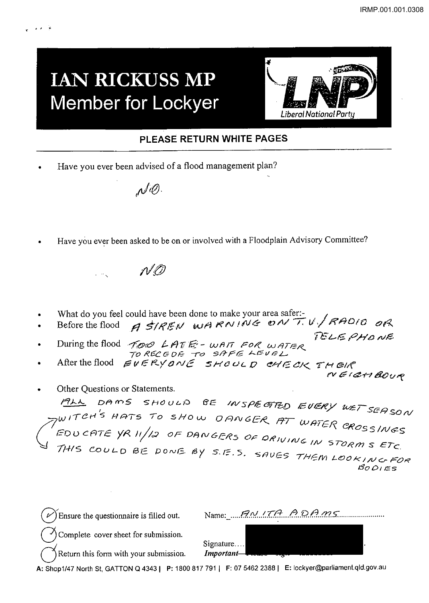## **IAN RICKUSS MP Member for Lockyer**



## PLEASE RETURN WHITE PAGES

Have you ever been advised of a flood management plan?

 $\mathcal{N}^{\prime\!\mathcal{O}}$ 

Have you ever been asked to be on or involved with a Floodplain Advisory Committee?

 $\mathcal{M}$ 

- 
- What do you feel could have been done to make your area safer:<br>Before the flood  $\beta$  *SIREN* WARNING ON TU/RAOIO OR
- During the flood TOO LATE-WAIT FOR WATER<br>TO RECEDE TO SAFE LEVEL
- TORECEDE TO SINT ...<br>EVERYONE SHOULD CHECK THEIR<br>NEIGHBOUR After the flood

TELEPHONE

Other Questions or Statements.

DAMS SHOULD BE INSPECTED EVERY WET SEASON  $M$ TIAN UIT-<br>TWITCH'S HATS TO SHOW OANGER AT WATER CROSSINGS THIS COULD BE DONE BY S.E.S. SAVES THEM LOOKING FOR  $BOOIES$ 

Name: ANITA ADAMS Ensure the questionnaire is filled out. Complete cover sheet for submission. Signature.... Return this form with your submission. Important-

A: Shop1/47 North St, GATTON Q 4343 | P: 1800 817 791 | F: 07 5462 2388 | E: lockyer@parliament.qld.gov.au